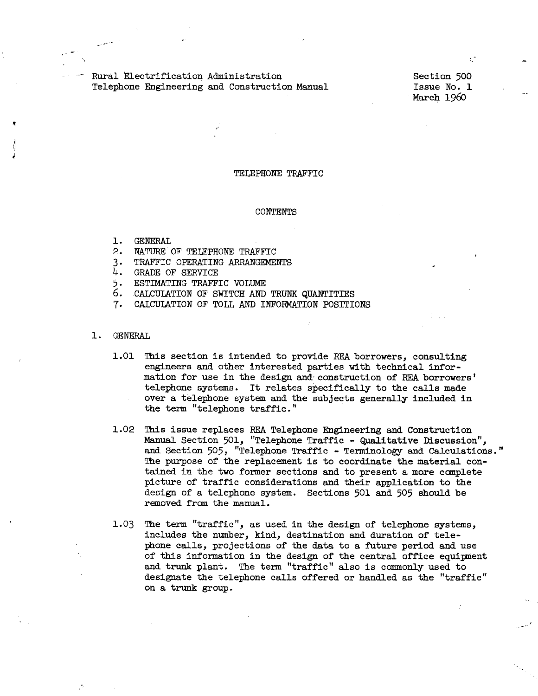Rural Electrification Administration Telephone Engineering and Construction Manual

Section 500 Issue No. 1 March 196o

#### TELEPHONE TRAFFIC

#### CONTENTS

- 1. GENERAL
- 2. NATURE OF TELEPHONE TRAFFIC
- 3. TRAFFIC OPERATING ARRANGEMENTS
- 4. GRADE OF SERVICE
- 5. ESTIMATING TRAFFIC VOLUME
- 6. CALCUlATION OF SWITCH AND TRUNK QUANTITIES
- 7. CALCULATION OF TOLL AND INFORMATION POSITIONS

## 1. GENERAL

- 1.01 This section is intended to provide REA borrowers, consulting engineers and other interested parties with technical information for use in the design and· construction of REA borrowers' telephone systems. It relates specifically to the calls made over a telephone system and the subjects generally included in the term "telephone traffic."
- 1.02 This issue replaces REA Telephone Engineering and Construction Manual Section 501, "Telephone Traffic - Qualitative Discussion", and Section 505, "Telephone Traffic - Terminology and Calculations." The purpose of the replacement is to coordinate the material contained in the two former sections and to present a more complete picture of traffic considerations and their application to the design of a telephone system. Sections 501 and 505 should be removed from the manual.
- 1.03 The term "traffic", as used in the design of telephone systems, includes the number, kind, destination and duration of telephone calls, projections of the data to a future period and use of this information in the design of the central office equipment and trunk plant. The term "traffic" also is commonly used to designate the telephone calls offered or handled as the "traffic" on a trunk group.

',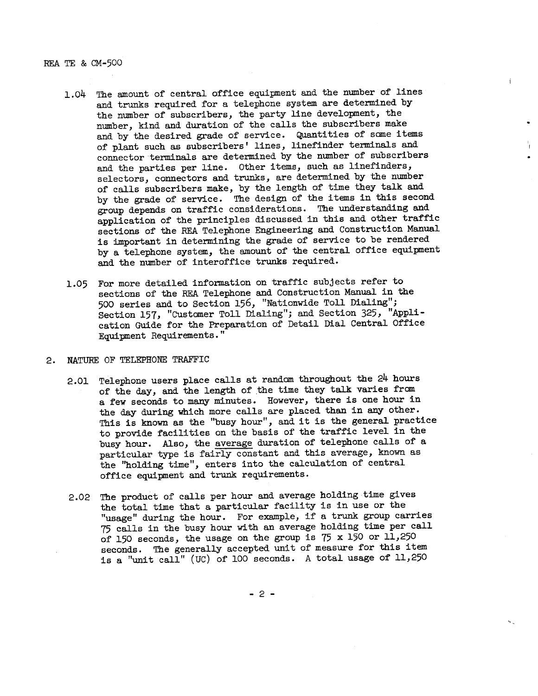REA TE & CM-500

1.04 The amount of central office equipment and the number of lines and trunks required for a telephone system are determined by the number of subscribers, the party line development, the number, kind and duration of the calls the subscribers make and by the desired grade of service. Quantities of same items of plant such as subscribers' lines, linefinder terminals and connector terminals are determined by the number of subscribers and the parties per line. Other items, such as linefinders, selectors, connectors and trunks, are determined by the number of calls subscribers make, by the length of time they talk and by the grade of service. The design of the items in this second group depends on traffic considerations. The understanding and application of the principles discussed in this and other traffic sections of the REA Telephone Engineering and Construction Manual is important in determining the grade of service to be rendered by a telephone system, the amount of the central office equipment and the number of interoffice trunks required.

 $\mathbf{I}$ 

1.05 For more detailed information on traffic subjects refer to sections of the REA Telephone and Construction Manual in the 500 series and to Section 156, "Nationwide Toll Dialing"; Section 157, "Customer Toll Dialing"; and Section 325, "Application Guide for the Preparation of Detail Dial Central Office Equipment Requirements. "

## 2. NATURE OF TELEPHONE TRAFFIC

- 2.01 Telephone users place calls at random throughout the 24 hours of the day, and the length of the time they talk varies from a few seconds to many minutes. However, there is one hour in the day during which more calls are placed than in any other. This is known as the "busy hour", and it is the general practice to provide facilities on the basis of the traffic level in the busy hour. Also, the average duration of telephone calls of <sup>a</sup> **particular type is fairly constant and** ~~is **average, known as**  the ''holding time", enters into the calculation of central office equipment and trunk requirements.
- 2.02 The product of calls per hour and average holding time gives the total time that a particular facility is in use or the "usage" during the hour. For example, if a trunk group carries <sup>75</sup>calls in the busy hour with an average holding time per call of 150 seconds, the usage on the group is  $75 \times 150$  or 11,250 seconds. The generally accepted unit of measure for this item is a "unit call" (UC) of 100 seconds. A total usage of 11,250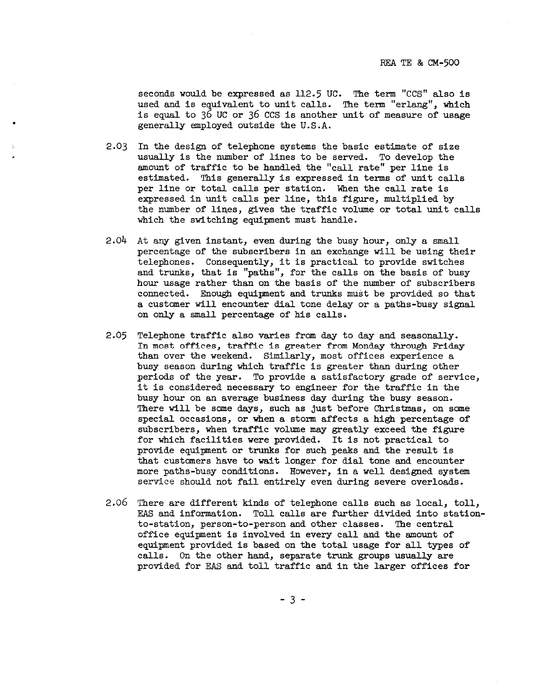seconds would be expressed as 112.5 UC. The term "CCS" also is used and is equivalent to unit calls. The term "erlang", which is equal to 36 UC or 36 CCS is another unit of measure of usage generally employed outside the U.S.A.

- 2.03 In the design of telephone systems the basic estimate of size usually is the number of lines to be served. To develop the amount of traffic to be handled the "call rate" per line is estimated. This generally is expressed in terms of unit calls per line or total calls per station. When the call rate is expressed in unit calls per line, this figure, multiplied by the number of lines, gives the traffic volume or total unit calls which the switching equipment must handle.
- 2.04 At any given instant, even during the busy hour, only a small percentage of the subscribers in an exchange will be using their telephones. Consequently, it is practical to provide switches and trunks, that is "paths", for the calls on the basis of busy hour usage rather than on the basis of the number of subscribers connected. Enough equipment and trunks must be provided so that a customer will encounter dial tone delay or a paths-busy signal on only a small percentage of his calls.
- 2.05 Telephone traffic also varies from day to day and seasonally. In most offices, traffic is greater from Monday through Friday than over the weekend. Similarly, most offices experience a busy season during Which traffic is greater than during other periods of the year. To provide a satisfactory grade of service, it is considered necessary to engineer for the traffic in the busy hour on an average business day during the busy season. There will be some days, such as just before Christmas, on some special occasions, or When a storm affects a high percentage of subscribers, when traffic volume may greatly exceed the figure for which facilities were provided. It is not practical to provide equipment or trunks for such peaks and the result is that customers have to wait longer for dial tone and encounter more paths-busy conditions. However, in a well designed system service should not fail entirely even during severe overloads.
- 2.06 There are different kinds of telephone calls such as local, toll, EAS and information. Toll calls are further divided into stationto-station, person-to-person and other classes. The central office equipment is involved in every call and the amount of equipment provided is based on the total usage for all types of calls. On the other hand, separate trunk groups usually are provided for EAS and toll traffic and in the larger offices for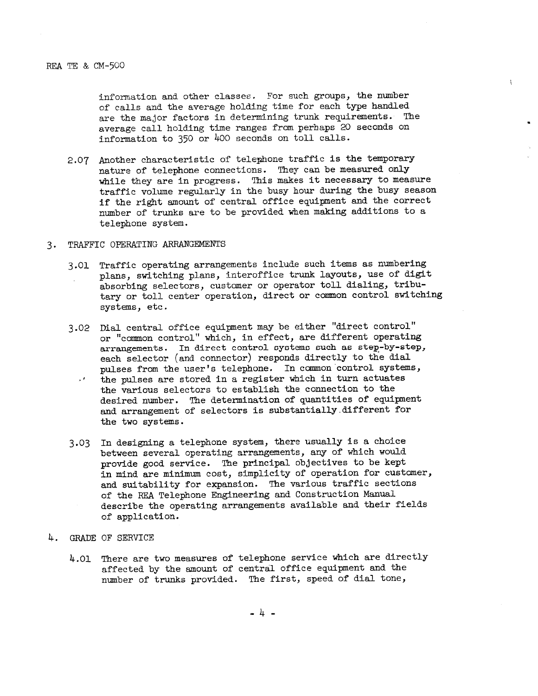information and other classes. For such groups, the number of calls and the average holding time for each type handled are the major factors in determining trunk requirements. The average call holding time ranges from perhaps 20 seconds on information to 350 or 400 seconds on toll calls.

 $\mathcal{L}$ 

- 2.07 Another characteristic of telephone traffic is the temporary nature of telephone connections. They can be measured only while they are in progress. This makes it necessary to measure traffic volume regularly in the busy hour during the busy season if the right amount of central office equipment and the correct number of trunks are to be provided when making additions to <sup>a</sup> telephone system.
- 3. TRAFFIC OPERATING ARRANGEMENTS
	- 3.01 Traffic operating arrangements include such items as numbering <sup>p</sup>lans, switching plans, interoffice trunk layouts, use of digit absorbing selectors, customer or operator toll dialing, tributary or toll center operation, direct or common control switching systems, etc.
	- 3.02 Dial central office equipment may be either "direct control" or "common control" which, in effect, are different operating arrangements. In direct control systems such as step-by-step, each selector (and connector) responds directly to the dial pulses from the user's telephone. In common control systems, the pulses are stored in a register Which in turn actuates  $\mathcal{A}^{\pm}$  . the various selectors to establish the connection to the desired number. The determination of quantities of equipment and arrangement of selectors is substantially.different for the two systems.
	- 3.03 In designing a telephone system, there usually is a choice **between several operating arrangements, any of which would**  provide good service. The principal objectives to be kept in mind are minimum cost, simplicity of operation for customer, and suitability for expansion. The various traffic sections of the REA Telephone Engineering and Construction Manual describe the operating arrangements available and their fields of application.
- 4. GRADE OF SERVICE
	- 4.01 There are two measures of telephone service which are directly affected by the amount of central office equipment and the number of trunks provided. The first, speed of dial tone,

- 4 -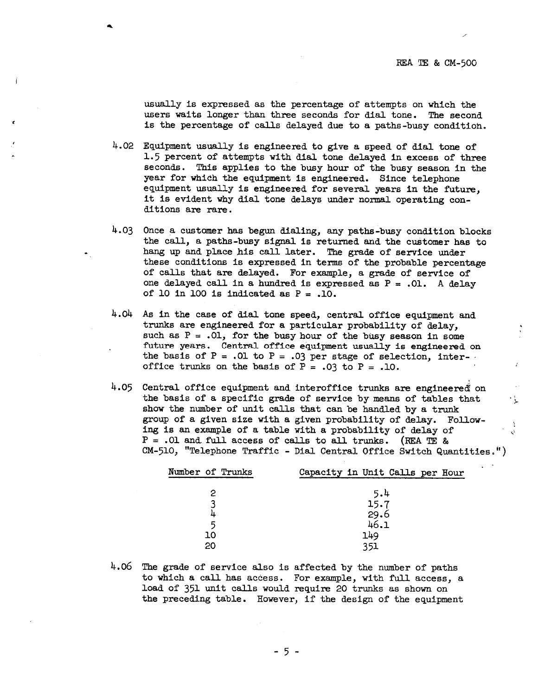usually is expressed as the percentage of attempts on which the users waits longer than three seconds for dial tone. The second is the percentage of' calls delayed due to a paths-busy conditioh.

 $4.02$  Equipment usually is engineered to give a speed of dial tone of 1.5 percent of attempts with dial tone delayed in excess of three seconds. This applies to the busy hour of' the busy season in the year for which the equipment is engineered. Since telephone equipment usually is engineered for several years in the future, it is evident why dial tone delays under normal operating conditions are rare.

- 4.03 Once a customer has begun dialing, any paths-busy condition blocks the call, a paths-busy signal is returned and the customer has to hang up and place his call later. The grade of service under these conditions is expressed in terms of the probable percentage of calls that are delayed. For example, a grade of service of one delayed call in a hundred is expressed as  $P = .01$ . A delay of 10 in 100 is indicated as  $P = .10$ .
- 4.04 As in the case of dial tone speed, central office equipment and trunks are engineered for a particular probability of' delay, such as  $P = .01$ , for the busy hour of the busy season in some future years. Central office equipment usually is engineered on the basis of  $P = .01$  to  $P = .03$  per stage of selection, interoffice trunks on the basis of  $P = .03$  to  $P = .10$ .
- $4.05$  Central office equipment and interoffice trunks are engineered on the basis of a specific grade of service by means of tables that show the number of unit calls that can be handled by a trunk group of a given size with a given probability of delay. Following is an example of a table with a probability of delay of  $\frac{1}{\sqrt{2}}$  $P = .01$  and full access of calls to all trunks. (REA TE &  $CM-510$ , "Telephone Traffic - Dial Central Office Switch Quantities.")

| Number of Trunks | Capacity in Unit Calls per Hour |
|------------------|---------------------------------|
|                  | 5.4                             |
|                  | 15.7                            |
|                  | 29.6                            |
| 5                | 46.1                            |
| 10               | 149                             |
| 20               | 351                             |

4.06 The grade of service also is affected by the number of paths to which a call has access. For example, with full access, <sup>a</sup> load of' 35l unit calls would require 20 trunks as shown on the preceding table. However, if the design of the equipment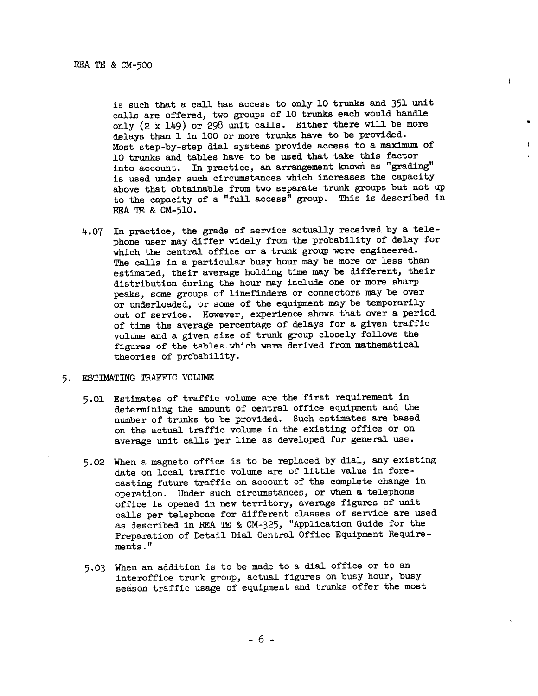is such that a call has access to only 10 trunks and 351 unit calls are offered, two groups of 10 trunks each would handle only { 2 x 149) or 298 unit calls. Either there will be more delays than 1 in 100 or more trunks have to be provided. Most step-by-step dial systems provide access to a maximum of 10 trunks and tables have to be used that take this factor into account. In practice, an arrangement know as "grading" is used under such circumstances which increases the capacity above that obtainable from two separate trunk groups but not up to the capacity of a "full access" group. This is described in REA TE & CM-510.

 $\mathfrak{f}$ 

 $\mathbf{V}$ 

4.07 In practice, the grade of service actually received by a tele<sup>p</sup>hone user may differ widely from the probability of delay for which the central office or <sup>a</sup>trunk group were engineered. The calls in a particular busy hour may be more or less than estimated, their average holding time may be different, their distribution during the hour may include one or more sharp peaks, some groups of linefinders or connectors may be over or underloaded, or some of the equipment may be temporarily out of service. However, experience shows that over a period of time the average percentage of delays for a given traffic volume and a given size of trunk group closely follows the figures of the tables which were derived from mathematical theories of probability.

# 5. ESTIMATING TRAFFIC VOLUME

- 5.01 Estimates of traffic volume are the first requirement in determining the amount of central office equipment and the number of trunks to be provided. Such estimates are based on the actual traffic volume in the existing office or on average unit calls per line as developed for general use.
- 5.02 When a magneto office is to be replaced by dial, any existing date on local traffic volume are of little value in forecasting future traffic on account of the complete change in operation. Under such circumstances, or when a telephone office is opened in new territory, average figures of unit calls per telephone for different classes of service are used as described in REA TE & CM-325, "Application Guide for the Preparation of Detail Dial Central Office Equipment Requirements."
- 5.03 When an addition is to be made to a dial office or to an interoffice trunk group, actual figures on busy hour, busy season traffic usage of equipment and trunks offer the most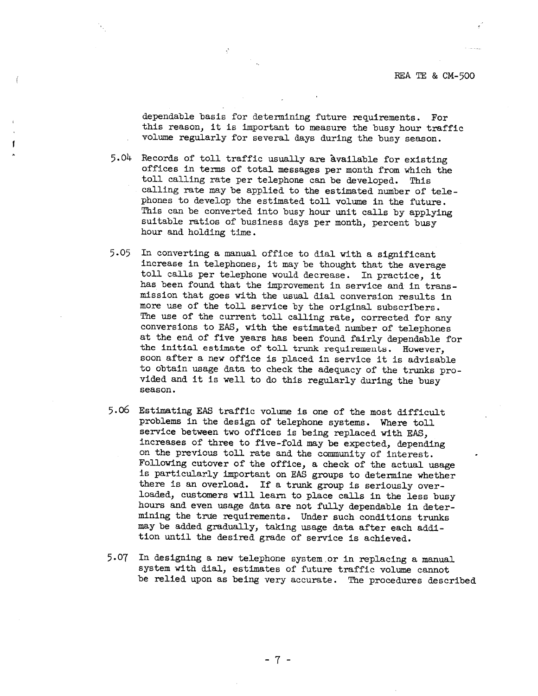dependable basis for determining future requirements. For this reason, it is important to measure the busy hour traffic volume regularly for several days during the busy season.

- 5.04 Records of toll traffic usually are Available for existing offices in terms of total messages per month from which the calling rate may be applied to the estimated number of telephones to develop the estimated toll volume in the future. This can be converted into busy hour unit calls by applying suitable ratios of business days per month, percent busy hour and holding time.
- 5.05 In converting a manual office to dial with a significant<br>increase in telephones, it may be thought that the average<br>toll calls per telephone would decrease. In practice, it<br>has been found that the improvement in servi mission that goes with the usual dial conversion results in more use of the toll service by the original subscribers. The use of the current toll calling rate, corrected for any conversions to EAS, with the estimated number of telephones at the end of five years has been found fairly dependable for the initial estimate of toll trunk requirements. However, soon after a new office is placed in service it is advisable to obtain usage data to check the adequacy of the trunks pro- vided and it is well to do this regularly during the busy season.
- 5.06 Estimating EAS traffic volume is one of the most difficult problems in the design of telephone systems. Where toll service between two offices is being replaced with EAS, increases of three to five-fold may be expected, depending on the previous toll rate and the community of interest. Following cutover of the office, a check of the actual usage is particularly important on EAS groups to determine whether<br>there is an overload. If a trunk group is seriously over-<br>loaded, customers will learn to place calls in the less busy<br>hours and even usage data are not fully de may be added gradually, taking usage data after each addition until the desired grade of service is achieved.
- 5.07 In designing a new telephone system.or in replacing a manual system with dial, estimates of future traffic volume cannot be relied upon as being very accurate. The procedures described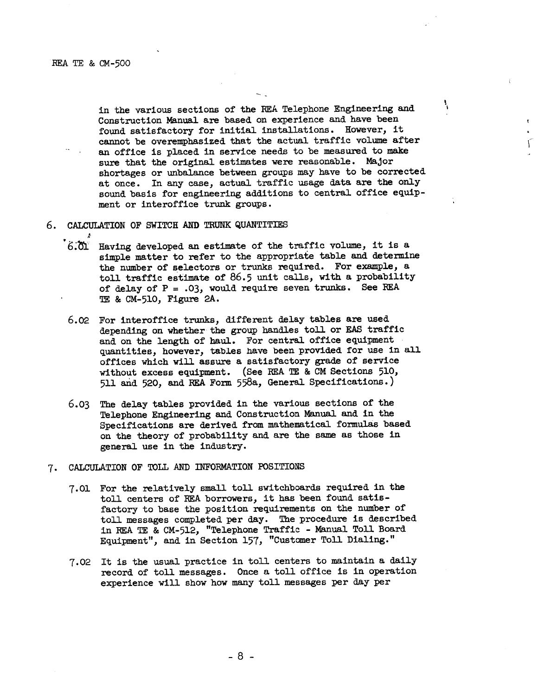REA TE & CM-500

in the various sections of the REA Telephone Engineering and Construction Manual are based on experience and have been found satisfactory for initial installations. However, it cannot be overemphasized that the actual traffic volume after an office is placed in service needs to be measured to make sure that the original estimates were reasonable. Major shortages or unbalance between groups may have to be corrected at once. In any case, actual traffic usage data are the only sound basis for engineering additions to central office equipment or interoffice trunk groups.

۱

 $\vec{r}$ 

- 6. CALCULATION OF SWITCH AND TRUNK QUANTITIES
	- $6.01$  Having developed an estimate of the traffic volume, it is a simple matter to refer to the appropriate table and determine the number of selectors or trunks required. For example, <sup>a</sup> toll traffic estimate of 86.5 unit calls, with a probability of delay of P <sup>=</sup>*.03,* would require seven trunks. See REA TE & CM-510, Figure 2A.
	- 6.02 For interoffice trunks, different delay tables are used depending on whether the group handles toll or EAS traffic and on the length of haul. For central office equipment quantities, however, tables have been provided for use in all offices which will assure <sup>a</sup>satisfactory grade of service without excess equipment. (See REA TE & CM Sections 510, <sup>511</sup>and 520, and REA Form 558a, General Specifications.}
	- 6.03 The delay tables provided in the various sections of the Telephone Engineering and Construction Manual and in the Specifications are derived from mathematical formulas based on the theory of probability and are the same as those in general use in the industry.
- *1·* CALCULATION OF TOLL AND INFORMATION POSITIONS
	- 7.01 For the relatively small toll switchboards required in the toll centers of REA borrowers, it has been found satisfactory to base the position requirements on the number of toll messages completed per day. The procedure is described in REA TE & CM-512, "Telephone Traffic - Manual Toll Board Equipment", and in Section 157, "Customer Toll Dialing."
	- 7.02 It is the usual practice in toll centers to maintain a daily record of toll messages. Once a toll office is in operation experience will show how many toll messages per day per